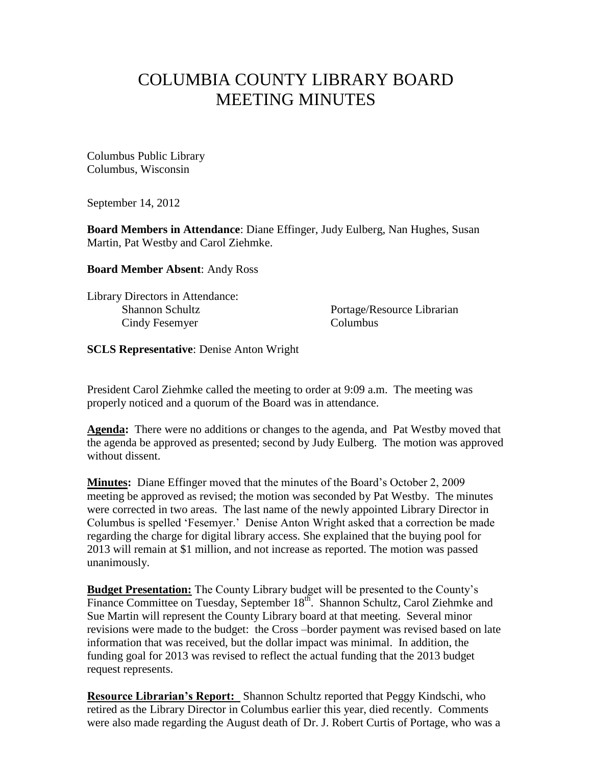## COLUMBIA COUNTY LIBRARY BOARD MEETING MINUTES

Columbus Public Library Columbus, Wisconsin

September 14, 2012

**Board Members in Attendance**: Diane Effinger, Judy Eulberg, Nan Hughes, Susan Martin, Pat Westby and Carol Ziehmke.

**Board Member Absent**: Andy Ross

Library Directors in Attendance: Cindy Fesemyer Columbus

Shannon Schultz Portage/Resource Librarian

**SCLS Representative**: Denise Anton Wright

President Carol Ziehmke called the meeting to order at 9:09 a.m. The meeting was properly noticed and a quorum of the Board was in attendance.

**Agenda:** There were no additions or changes to the agenda, and Pat Westby moved that the agenda be approved as presented; second by Judy Eulberg. The motion was approved without dissent.

**Minutes:** Diane Effinger moved that the minutes of the Board's October 2, 2009 meeting be approved as revised; the motion was seconded by Pat Westby. The minutes were corrected in two areas. The last name of the newly appointed Library Director in Columbus is spelled 'Fesemyer.' Denise Anton Wright asked that a correction be made regarding the charge for digital library access. She explained that the buying pool for 2013 will remain at \$1 million, and not increase as reported. The motion was passed unanimously.

**Budget Presentation:** The County Library budget will be presented to the County's Finance Committee on Tuesday, September 18<sup>th</sup>. Shannon Schultz, Carol Ziehmke and Sue Martin will represent the County Library board at that meeting. Several minor revisions were made to the budget: the Cross –border payment was revised based on late information that was received, but the dollar impact was minimal. In addition, the funding goal for 2013 was revised to reflect the actual funding that the 2013 budget request represents.

**Resource Librarian's Report:** Shannon Schultz reported that Peggy Kindschi, who retired as the Library Director in Columbus earlier this year, died recently. Comments were also made regarding the August death of Dr. J. Robert Curtis of Portage, who was a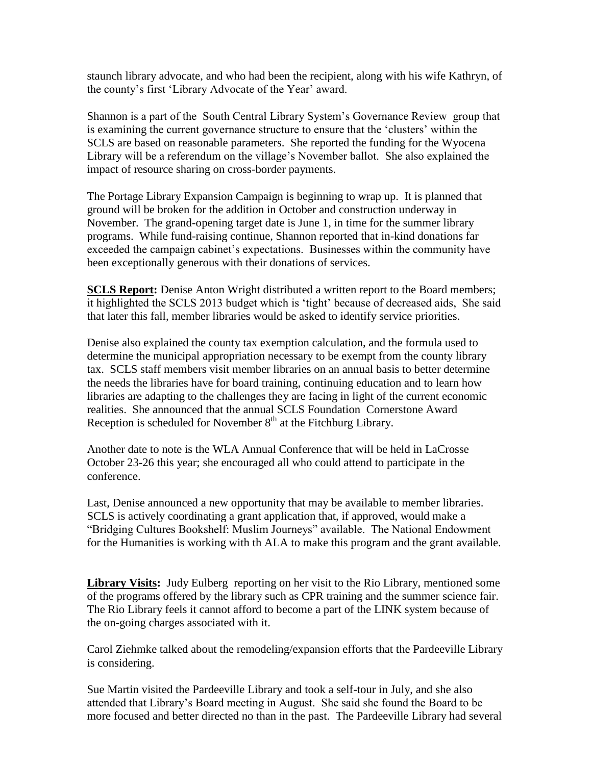staunch library advocate, and who had been the recipient, along with his wife Kathryn, of the county's first 'Library Advocate of the Year' award.

Shannon is a part of the South Central Library System's Governance Review group that is examining the current governance structure to ensure that the 'clusters' within the SCLS are based on reasonable parameters. She reported the funding for the Wyocena Library will be a referendum on the village's November ballot. She also explained the impact of resource sharing on cross-border payments.

The Portage Library Expansion Campaign is beginning to wrap up. It is planned that ground will be broken for the addition in October and construction underway in November. The grand-opening target date is June 1, in time for the summer library programs. While fund-raising continue, Shannon reported that in-kind donations far exceeded the campaign cabinet's expectations. Businesses within the community have been exceptionally generous with their donations of services.

**SCLS Report:** Denise Anton Wright distributed a written report to the Board members; it highlighted the SCLS 2013 budget which is 'tight' because of decreased aids, She said that later this fall, member libraries would be asked to identify service priorities.

Denise also explained the county tax exemption calculation, and the formula used to determine the municipal appropriation necessary to be exempt from the county library tax. SCLS staff members visit member libraries on an annual basis to better determine the needs the libraries have for board training, continuing education and to learn how libraries are adapting to the challenges they are facing in light of the current economic realities. She announced that the annual SCLS Foundation Cornerstone Award Reception is scheduled for November  $8<sup>th</sup>$  at the Fitchburg Library.

Another date to note is the WLA Annual Conference that will be held in LaCrosse October 23-26 this year; she encouraged all who could attend to participate in the conference.

Last, Denise announced a new opportunity that may be available to member libraries. SCLS is actively coordinating a grant application that, if approved, would make a "Bridging Cultures Bookshelf: Muslim Journeys" available. The National Endowment for the Humanities is working with th ALA to make this program and the grant available.

**Library Visits:** Judy Eulberg reporting on her visit to the Rio Library, mentioned some of the programs offered by the library such as CPR training and the summer science fair. The Rio Library feels it cannot afford to become a part of the LINK system because of the on-going charges associated with it.

Carol Ziehmke talked about the remodeling/expansion efforts that the Pardeeville Library is considering.

Sue Martin visited the Pardeeville Library and took a self-tour in July, and she also attended that Library's Board meeting in August. She said she found the Board to be more focused and better directed no than in the past. The Pardeeville Library had several